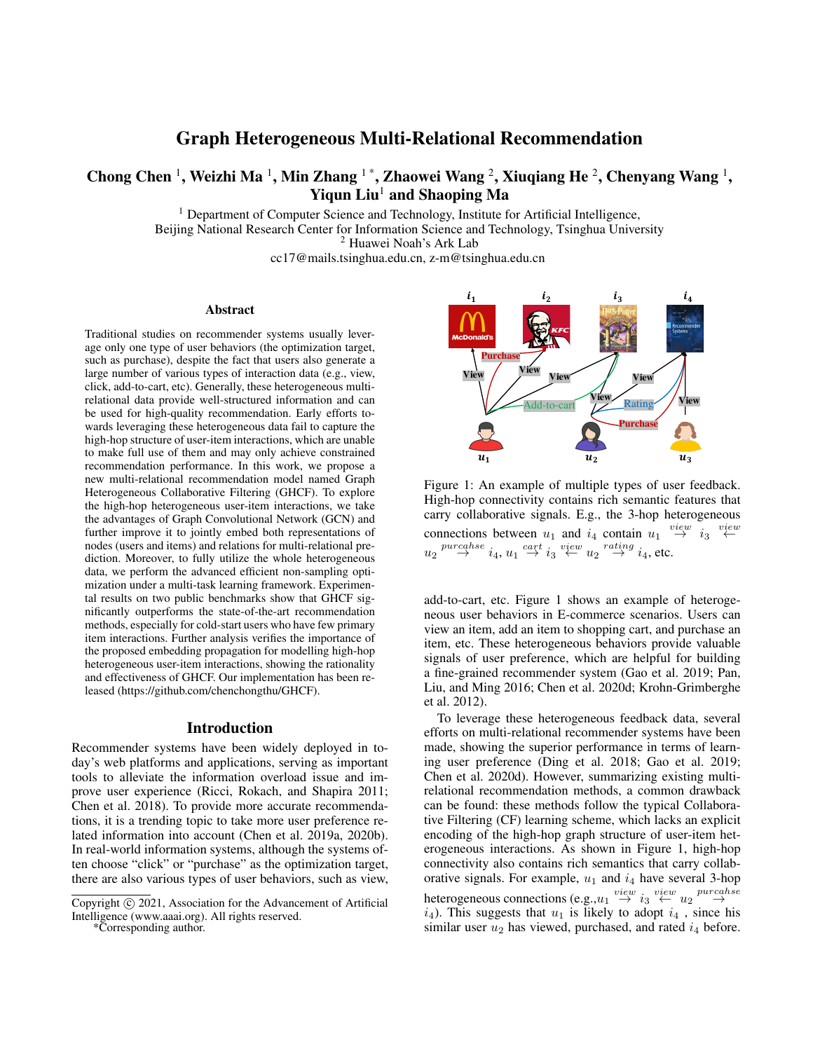# Graph Heterogeneous Multi-Relational Recommendation

# Chong Chen <sup>1</sup>, Weizhi Ma <sup>1</sup>, Min Zhang <sup>1</sup> \*, Zhaowei Wang <sup>2</sup>, Xiuqiang He <sup>2</sup>, Chenyang Wang <sup>1</sup>, Yiqun  $Liu<sup>1</sup>$  and Shaoping Ma

<sup>1</sup> Department of Computer Science and Technology, Institute for Artificial Intelligence, Beijing National Research Center for Information Science and Technology, Tsinghua University <sup>2</sup> Huawei Noah's Ark Lab

cc17@mails.tsinghua.edu.cn, z-m@tsinghua.edu.cn

#### Abstract

Traditional studies on recommender systems usually leverage only one type of user behaviors (the optimization target, such as purchase), despite the fact that users also generate a large number of various types of interaction data (e.g., view, click, add-to-cart, etc). Generally, these heterogeneous multirelational data provide well-structured information and can be used for high-quality recommendation. Early efforts towards leveraging these heterogeneous data fail to capture the high-hop structure of user-item interactions, which are unable to make full use of them and may only achieve constrained recommendation performance. In this work, we propose a new multi-relational recommendation model named Graph Heterogeneous Collaborative Filtering (GHCF). To explore the high-hop heterogeneous user-item interactions, we take the advantages of Graph Convolutional Network (GCN) and further improve it to jointly embed both representations of nodes (users and items) and relations for multi-relational prediction. Moreover, to fully utilize the whole heterogeneous data, we perform the advanced efficient non-sampling optimization under a multi-task learning framework. Experimental results on two public benchmarks show that GHCF significantly outperforms the state-of-the-art recommendation methods, especially for cold-start users who have few primary item interactions. Further analysis verifies the importance of the proposed embedding propagation for modelling high-hop heterogeneous user-item interactions, showing the rationality and effectiveness of GHCF. Our implementation has been released (https://github.com/chenchongthu/GHCF).

#### Introduction

Recommender systems have been widely deployed in today's web platforms and applications, serving as important tools to alleviate the information overload issue and improve user experience (Ricci, Rokach, and Shapira 2011; Chen et al. 2018). To provide more accurate recommendations, it is a trending topic to take more user preference related information into account (Chen et al. 2019a, 2020b). In real-world information systems, although the systems often choose "click" or "purchase" as the optimization target, there are also various types of user behaviors, such as view,

\*Corresponding author.



Figure 1: An example of multiple types of user feedback. High-hop connectivity contains rich semantic features that carry collaborative signals. E.g., the 3-hop heterogeneous connections between  $u_1$  and  $i_4$  contain  $u_1 \stackrel{view}{\rightarrow} i_3 \stackrel{view}{\leftarrow}$  $u_2 \stackrel{pureahse}{\rightarrow} i_4, u_1 \stackrel{cart}{\rightarrow} i_3 \stackrel{view}{\leftarrow} u_2 \stackrel{rating}{\rightarrow} i_4$ , etc.

add-to-cart, etc. Figure 1 shows an example of heterogeneous user behaviors in E-commerce scenarios. Users can view an item, add an item to shopping cart, and purchase an item, etc. These heterogeneous behaviors provide valuable signals of user preference, which are helpful for building a fine-grained recommender system (Gao et al. 2019; Pan, Liu, and Ming 2016; Chen et al. 2020d; Krohn-Grimberghe et al. 2012).

To leverage these heterogeneous feedback data, several efforts on multi-relational recommender systems have been made, showing the superior performance in terms of learning user preference (Ding et al. 2018; Gao et al. 2019; Chen et al. 2020d). However, summarizing existing multirelational recommendation methods, a common drawback can be found: these methods follow the typical Collaborative Filtering (CF) learning scheme, which lacks an explicit encoding of the high-hop graph structure of user-item heterogeneous interactions. As shown in Figure 1, high-hop connectivity also contains rich semantics that carry collaborative signals. For example,  $u_1$  and  $i_4$  have several 3-hop heterogeneous connections (e.g.,  $u_1 \stackrel{view}{\rightarrow} i_3 \stackrel{view}{\leftarrow} u_2 \stackrel{prrcahse}{\rightarrow}$  $i_4$ ). This suggests that  $u_1$  is likely to adopt  $i_4$ , since his similar user  $u_2$  has viewed, purchased, and rated  $i_4$  before.

Copyright (c) 2021, Association for the Advancement of Artificial Intelligence (www.aaai.org). All rights reserved.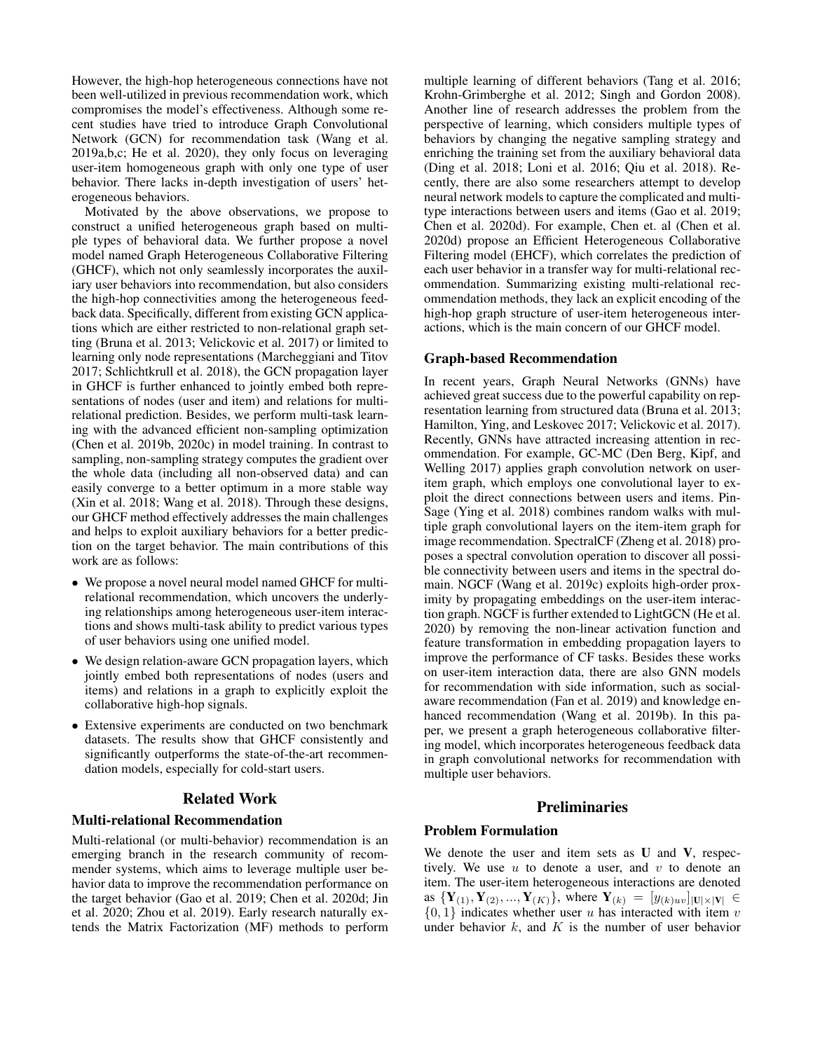However, the high-hop heterogeneous connections have not been well-utilized in previous recommendation work, which compromises the model's effectiveness. Although some recent studies have tried to introduce Graph Convolutional Network (GCN) for recommendation task (Wang et al. 2019a,b,c; He et al. 2020), they only focus on leveraging user-item homogeneous graph with only one type of user behavior. There lacks in-depth investigation of users' heterogeneous behaviors.

Motivated by the above observations, we propose to construct a unified heterogeneous graph based on multiple types of behavioral data. We further propose a novel model named Graph Heterogeneous Collaborative Filtering (GHCF), which not only seamlessly incorporates the auxiliary user behaviors into recommendation, but also considers the high-hop connectivities among the heterogeneous feedback data. Specifically, different from existing GCN applications which are either restricted to non-relational graph setting (Bruna et al. 2013; Velickovic et al. 2017) or limited to learning only node representations (Marcheggiani and Titov 2017; Schlichtkrull et al. 2018), the GCN propagation layer in GHCF is further enhanced to jointly embed both representations of nodes (user and item) and relations for multirelational prediction. Besides, we perform multi-task learning with the advanced efficient non-sampling optimization (Chen et al. 2019b, 2020c) in model training. In contrast to sampling, non-sampling strategy computes the gradient over the whole data (including all non-observed data) and can easily converge to a better optimum in a more stable way (Xin et al. 2018; Wang et al. 2018). Through these designs, our GHCF method effectively addresses the main challenges and helps to exploit auxiliary behaviors for a better prediction on the target behavior. The main contributions of this work are as follows:

- We propose a novel neural model named GHCF for multirelational recommendation, which uncovers the underlying relationships among heterogeneous user-item interactions and shows multi-task ability to predict various types of user behaviors using one unified model.
- We design relation-aware GCN propagation layers, which jointly embed both representations of nodes (users and items) and relations in a graph to explicitly exploit the collaborative high-hop signals.
- Extensive experiments are conducted on two benchmark datasets. The results show that GHCF consistently and significantly outperforms the state-of-the-art recommendation models, especially for cold-start users.

## Related Work

#### Multi-relational Recommendation

Multi-relational (or multi-behavior) recommendation is an emerging branch in the research community of recommender systems, which aims to leverage multiple user behavior data to improve the recommendation performance on the target behavior (Gao et al. 2019; Chen et al. 2020d; Jin et al. 2020; Zhou et al. 2019). Early research naturally extends the Matrix Factorization (MF) methods to perform

multiple learning of different behaviors (Tang et al. 2016; Krohn-Grimberghe et al. 2012; Singh and Gordon 2008). Another line of research addresses the problem from the perspective of learning, which considers multiple types of behaviors by changing the negative sampling strategy and enriching the training set from the auxiliary behavioral data (Ding et al. 2018; Loni et al. 2016; Qiu et al. 2018). Recently, there are also some researchers attempt to develop neural network models to capture the complicated and multitype interactions between users and items (Gao et al. 2019; Chen et al. 2020d). For example, Chen et. al (Chen et al. 2020d) propose an Efficient Heterogeneous Collaborative Filtering model (EHCF), which correlates the prediction of each user behavior in a transfer way for multi-relational recommendation. Summarizing existing multi-relational recommendation methods, they lack an explicit encoding of the high-hop graph structure of user-item heterogeneous interactions, which is the main concern of our GHCF model.

### Graph-based Recommendation

In recent years, Graph Neural Networks (GNNs) have achieved great success due to the powerful capability on representation learning from structured data (Bruna et al. 2013; Hamilton, Ying, and Leskovec 2017; Velickovic et al. 2017). Recently, GNNs have attracted increasing attention in recommendation. For example, GC-MC (Den Berg, Kipf, and Welling 2017) applies graph convolution network on useritem graph, which employs one convolutional layer to exploit the direct connections between users and items. Pin-Sage (Ying et al. 2018) combines random walks with multiple graph convolutional layers on the item-item graph for image recommendation. SpectralCF (Zheng et al. 2018) proposes a spectral convolution operation to discover all possible connectivity between users and items in the spectral domain. NGCF (Wang et al. 2019c) exploits high-order proximity by propagating embeddings on the user-item interaction graph. NGCF is further extended to LightGCN (He et al. 2020) by removing the non-linear activation function and feature transformation in embedding propagation layers to improve the performance of CF tasks. Besides these works on user-item interaction data, there are also GNN models for recommendation with side information, such as socialaware recommendation (Fan et al. 2019) and knowledge enhanced recommendation (Wang et al. 2019b). In this paper, we present a graph heterogeneous collaborative filtering model, which incorporates heterogeneous feedback data in graph convolutional networks for recommendation with multiple user behaviors.

### Preliminaries

### Problem Formulation

We denote the user and item sets as  $U$  and  $V$ , respectively. We use  $u$  to denote a user, and  $v$  to denote an item. The user-item heterogeneous interactions are denoted as  $\{Y_{(1)}, Y_{(2)}, ..., Y_{(K)}\}$ , where  $Y_{(k)} = [y_{(k)uv}]_{|U| \times |V|} \in$  $\{0, 1\}$  indicates whether user u has interacted with item v under behavior  $k$ , and  $K$  is the number of user behavior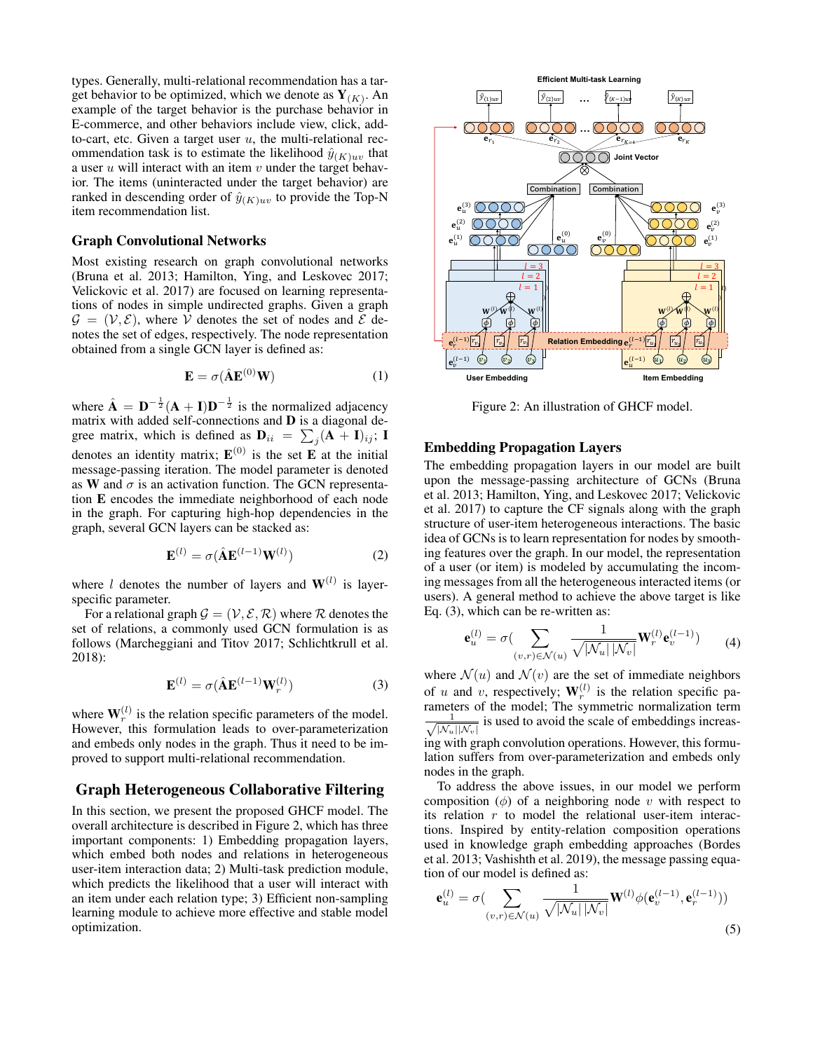types. Generally, multi-relational recommendation has a target behavior to be optimized, which we denote as  $Y_{(K)}$ . An example of the target behavior is the purchase behavior in E-commerce, and other behaviors include view, click, addto-cart, etc. Given a target user  $u$ , the multi-relational recommendation task is to estimate the likelihood  $\hat{y}_{(K)uv}$  that a user  $u$  will interact with an item  $v$  under the target behavior. The items (uninteracted under the target behavior) are ranked in descending order of  $\hat{y}_{(K)uv}$  to provide the Top-N item recommendation list.

#### Graph Convolutional Networks

Most existing research on graph convolutional networks (Bruna et al. 2013; Hamilton, Ying, and Leskovec 2017; Velickovic et al. 2017) are focused on learning representations of nodes in simple undirected graphs. Given a graph  $\mathcal{G} = (\mathcal{V}, \mathcal{E})$ , where V denotes the set of nodes and E denotes the set of edges, respectively. The node representation obtained from a single GCN layer is defined as:

$$
\mathbf{E} = \sigma(\hat{\mathbf{A}}\mathbf{E}^{(0)}\mathbf{W})\tag{1}
$$

where  $\hat{\mathbf{A}} = \mathbf{D}^{-\frac{1}{2}} (\mathbf{A} + \mathbf{I}) \mathbf{D}^{-\frac{1}{2}}$  is the normalized adjacency matrix with added self-connections and D is a diagonal degree matrix, which is defined as  $\mathbf{D}_{ii} = \sum_j (\mathbf{A} + \mathbf{I})_{ij}$ ; I denotes an identity matrix;  $E^{(0)}$  is the set **E** at the initial message-passing iteration. The model parameter is denoted as W and  $\sigma$  is an activation function. The GCN representation E encodes the immediate neighborhood of each node in the graph. For capturing high-hop dependencies in the graph, several GCN layers can be stacked as:

$$
\mathbf{E}^{(l)} = \sigma(\hat{\mathbf{A}}\mathbf{E}^{(l-1)}\mathbf{W}^{(l)})
$$
 (2)

where l denotes the number of layers and  $W^{(l)}$  is layerspecific parameter.

For a relational graph  $\mathcal{G} = (\mathcal{V}, \mathcal{E}, \mathcal{R})$  where  $\mathcal R$  denotes the set of relations, a commonly used GCN formulation is as follows (Marcheggiani and Titov 2017; Schlichtkrull et al. 2018):

$$
\mathbf{E}^{(l)} = \sigma(\hat{\mathbf{A}}\mathbf{E}^{(l-1)}\mathbf{W}_r^{(l)})
$$
(3)

where  $W_r^{(l)}$  is the relation specific parameters of the model. However, this formulation leads to over-parameterization and embeds only nodes in the graph. Thus it need to be improved to support multi-relational recommendation.

### Graph Heterogeneous Collaborative Filtering

In this section, we present the proposed GHCF model. The overall architecture is described in Figure 2, which has three important components: 1) Embedding propagation layers, which embed both nodes and relations in heterogeneous user-item interaction data; 2) Multi-task prediction module, which predicts the likelihood that a user will interact with an item under each relation type; 3) Efficient non-sampling learning module to achieve more effective and stable model optimization.



Figure 2: An illustration of GHCF model.

#### Embedding Propagation Layers

The embedding propagation layers in our model are built upon the message-passing architecture of GCNs (Bruna et al. 2013; Hamilton, Ying, and Leskovec 2017; Velickovic et al. 2017) to capture the CF signals along with the graph structure of user-item heterogeneous interactions. The basic idea of GCNs is to learn representation for nodes by smoothing features over the graph. In our model, the representation of a user (or item) is modeled by accumulating the incoming messages from all the heterogeneous interacted items (or users). A general method to achieve the above target is like Eq. (3), which can be re-written as:

$$
\mathbf{e}_{u}^{(l)} = \sigma\left(\sum_{(v,r)\in\mathcal{N}(u)}\frac{1}{\sqrt{|\mathcal{N}_{u}| |\mathcal{N}_{v}|}} \mathbf{W}_{r}^{(l)} \mathbf{e}_{v}^{(l-1)}\right) (4)
$$

where  $\mathcal{N}(u)$  and  $\mathcal{N}(v)$  are the set of immediate neighbors of u and v, respectively;  $W_r^{(l)}$  is the relation specific parameters of the model; The symmetric normalization term  $\frac{1}{\sqrt{1-\frac{1}{\sqrt{1-\frac{1}{\sqrt{1-\frac{1}{\sqrt{1-\frac{1}{\sqrt{1-\frac{1}{\sqrt{1-\frac{1}{\sqrt{1-\frac{1}{\sqrt{1-\frac{1}{\sqrt{1-\frac{1}{\sqrt{1-\frac{1}{\sqrt{1-\frac{1}{\sqrt{1-\frac{1}{\sqrt{1-\frac{1}{\sqrt{1-\frac{1}{\sqrt{1-\frac{1}{\sqrt{1-\frac{1}{\sqrt{1-\frac{1}{\sqrt{1-\frac{1}{\sqrt{1-\frac{1}{\sqrt{1-\frac{1}{\sqrt{1-\frac{1}{\sqrt{1-\frac{1}{\sqrt{1-\frac{1}{\sqrt{1-\frac{1$  $\frac{1}{\left|\mathcal{N}_u\right|\left|\mathcal{N}_v\right|}$  is used to avoid the scale of embeddings increasing with graph convolution operations. However, this formulation suffers from over-parameterization and embeds only nodes in the graph.

To address the above issues, in our model we perform composition  $(\phi)$  of a neighboring node v with respect to its relation  $r$  to model the relational user-item interactions. Inspired by entity-relation composition operations used in knowledge graph embedding approaches (Bordes et al. 2013; Vashishth et al. 2019), the message passing equation of our model is defined as:

$$
\mathbf{e}_{u}^{(l)} = \sigma\left(\sum_{(v,r)\in\mathcal{N}(u)}\frac{1}{\sqrt{|\mathcal{N}_{u}| |\mathcal{N}_{v}|}}\mathbf{W}^{(l)}\phi(\mathbf{e}_{v}^{(l-1)},\mathbf{e}_{r}^{(l-1)})\right)
$$
\n(5)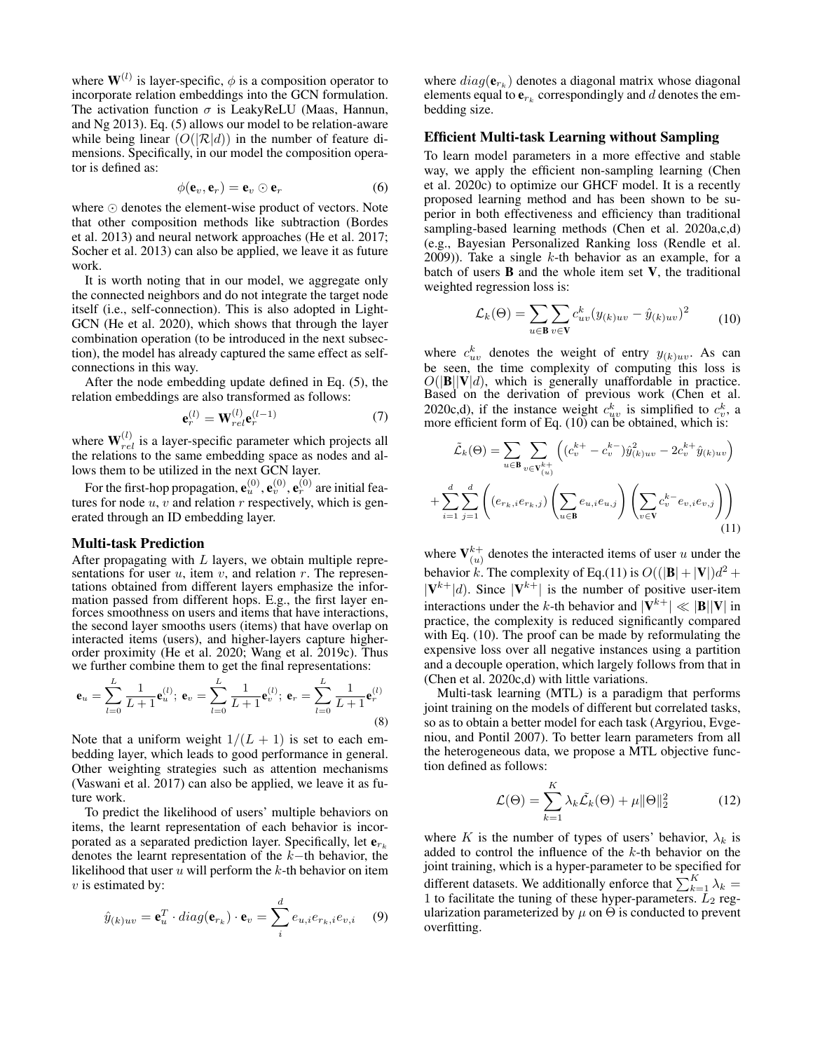where  $\mathbf{W}^{(l)}$  is layer-specific,  $\phi$  is a composition operator to incorporate relation embeddings into the GCN formulation. The activation function  $\sigma$  is LeakyReLU (Maas, Hannun, and Ng 2013). Eq. (5) allows our model to be relation-aware while being linear  $(O(|\mathcal{R}|d))$  in the number of feature dimensions. Specifically, in our model the composition operator is defined as:

$$
\phi(\mathbf{e}_v, \mathbf{e}_r) = \mathbf{e}_v \odot \mathbf{e}_r \tag{6}
$$

where  $\odot$  denotes the element-wise product of vectors. Note that other composition methods like subtraction (Bordes et al. 2013) and neural network approaches (He et al. 2017; Socher et al. 2013) can also be applied, we leave it as future work.

It is worth noting that in our model, we aggregate only the connected neighbors and do not integrate the target node itself (i.e., self-connection). This is also adopted in Light-GCN (He et al. 2020), which shows that through the layer combination operation (to be introduced in the next subsection), the model has already captured the same effect as selfconnections in this way.

After the node embedding update defined in Eq. (5), the relation embeddings are also transformed as follows:

$$
\mathbf{e}_r^{(l)} = \mathbf{W}_{rel}^{(l)} \mathbf{e}_r^{(l-1)} \tag{7}
$$

where  $\mathbf{W}_{rel}^{(l)}$  is a layer-specific parameter which projects all the relations to the same embedding space as nodes and allows them to be utilized in the next GCN layer.

For the first-hop propagation,  $\mathbf{e}_u^{(0)}, \mathbf{e}_v^{(0)}, \mathbf{e}_r^{(0)}$  are initial features for node  $u, v$  and relation r respectively, which is generated through an ID embedding layer.

### Multi-task Prediction

After propagating with  $L$  layers, we obtain multiple representations for user  $u$ , item  $v$ , and relation  $r$ . The representations obtained from different layers emphasize the information passed from different hops. E.g., the first layer enforces smoothness on users and items that have interactions, the second layer smooths users (items) that have overlap on interacted items (users), and higher-layers capture higherorder proximity (He et al. 2020; Wang et al. 2019c). Thus we further combine them to get the final representations:

$$
\mathbf{e}_{u} = \sum_{l=0}^{L} \frac{1}{L+1} \mathbf{e}_{u}^{(l)}; \ \mathbf{e}_{v} = \sum_{l=0}^{L} \frac{1}{L+1} \mathbf{e}_{v}^{(l)}; \ \mathbf{e}_{r} = \sum_{l=0}^{L} \frac{1}{L+1} \mathbf{e}_{r}^{(l)}
$$
(8)

Note that a uniform weight  $1/(L + 1)$  is set to each embedding layer, which leads to good performance in general. Other weighting strategies such as attention mechanisms (Vaswani et al. 2017) can also be applied, we leave it as future work.

To predict the likelihood of users' multiple behaviors on items, the learnt representation of each behavior is incorporated as a separated prediction layer. Specifically, let  $e_{r_k}$ denotes the learnt representation of the k−th behavior, the likelihood that user  $u$  will perform the  $k$ -th behavior on item  $v$  is estimated by:

$$
\hat{y}_{(k)uv} = \mathbf{e}_u^T \cdot diag(\mathbf{e}_{r_k}) \cdot \mathbf{e}_v = \sum_i^d e_{u,i} e_{r_k,i} e_{v,i} \quad (9)
$$

where  $diag(\mathbf{e}_{r_k})$  denotes a diagonal matrix whose diagonal elements equal to  ${\bf e}_{r_k}$  correspondingly and  $d$  denotes the embedding size.

#### Efficient Multi-task Learning without Sampling

To learn model parameters in a more effective and stable way, we apply the efficient non-sampling learning (Chen et al. 2020c) to optimize our GHCF model. It is a recently proposed learning method and has been shown to be superior in both effectiveness and efficiency than traditional sampling-based learning methods (Chen et al. 2020a,c,d) (e.g., Bayesian Personalized Ranking loss (Rendle et al.  $(2009)$ ). Take a single k-th behavior as an example, for a batch of users  $\bf{B}$  and the whole item set  $\bf{V}$ , the traditional weighted regression loss is:

$$
\mathcal{L}_k(\Theta) = \sum_{u \in \mathbf{B}} \sum_{v \in \mathbf{V}} c_{uv}^k (y_{(k)uv} - \hat{y}_{(k)uv})^2
$$
 (10)

where  $c_{uv}^k$  denotes the weight of entry  $y_{(k)uv}$ . As can be seen, the time complexity of computing this loss is  $O(|\mathbf{B}||\mathbf{V}|d)$ , which is generally unaffordable in practice. Based on the derivation of previous work (Chen et al. 2020c,d), if the instance weight  $c_{uv}^k$  is simplified to  $c_v^k$ , a more efficient form of Eq. (10) can be obtained, which is:

$$
\tilde{\mathcal{L}}_{k}(\Theta) = \sum_{u \in \mathbf{B}} \sum_{v \in \mathbf{V}_{(u)}^{k+}} \left( (c_{v}^{k+} - c_{v}^{k-}) \hat{y}_{(k)uv}^{2} - 2c_{v}^{k+} \hat{y}_{(k)uv} \right) \n+ \sum_{i=1}^{d} \sum_{j=1}^{d} \left( (e_{r_{k},i} e_{r_{k},j}) \left( \sum_{u \in \mathbf{B}} e_{u,i} e_{u,j} \right) \left( \sum_{v \in \mathbf{V}} c_{v}^{k-} e_{v,i} e_{v,j} \right) \right)
$$
\n(11)

where  $V_{(u)}^{k+}$  denotes the interacted items of user u under the behavior k. The complexity of Eq.(11) is  $O((|\mathbf{B}|+|\mathbf{V}|)d^2 +$  $|\mathbf{V}^{k+}|d$ ). Since  $|\mathbf{V}^{k+}|$  is the number of positive user-item interactions under the k-th behavior and  $|\mathbf{V}^{k+}| \ll |\mathbf{B}||\mathbf{V}|$  in practice, the complexity is reduced significantly compared with Eq. (10). The proof can be made by reformulating the expensive loss over all negative instances using a partition and a decouple operation, which largely follows from that in (Chen et al. 2020c,d) with little variations.

Multi-task learning (MTL) is a paradigm that performs joint training on the models of different but correlated tasks, so as to obtain a better model for each task (Argyriou, Evgeniou, and Pontil 2007). To better learn parameters from all the heterogeneous data, we propose a MTL objective function defined as follows:

$$
\mathcal{L}(\Theta) = \sum_{k=1}^{K} \lambda_k \tilde{\mathcal{L}}_k(\Theta) + \mu \|\Theta\|_2^2 \tag{12}
$$

where K is the number of types of users' behavior,  $\lambda_k$  is added to control the influence of the  $k$ -th behavior on the joint training, which is a hyper-parameter to be specified for different datasets. We additionally enforce that  $\sum_{k=1}^{K} \lambda_k =$ 1 to facilitate the tuning of these hyper-parameters.  $\bar{L}_2$  regularization parameterized by  $\mu$  on  $\Theta$  is conducted to prevent overfitting.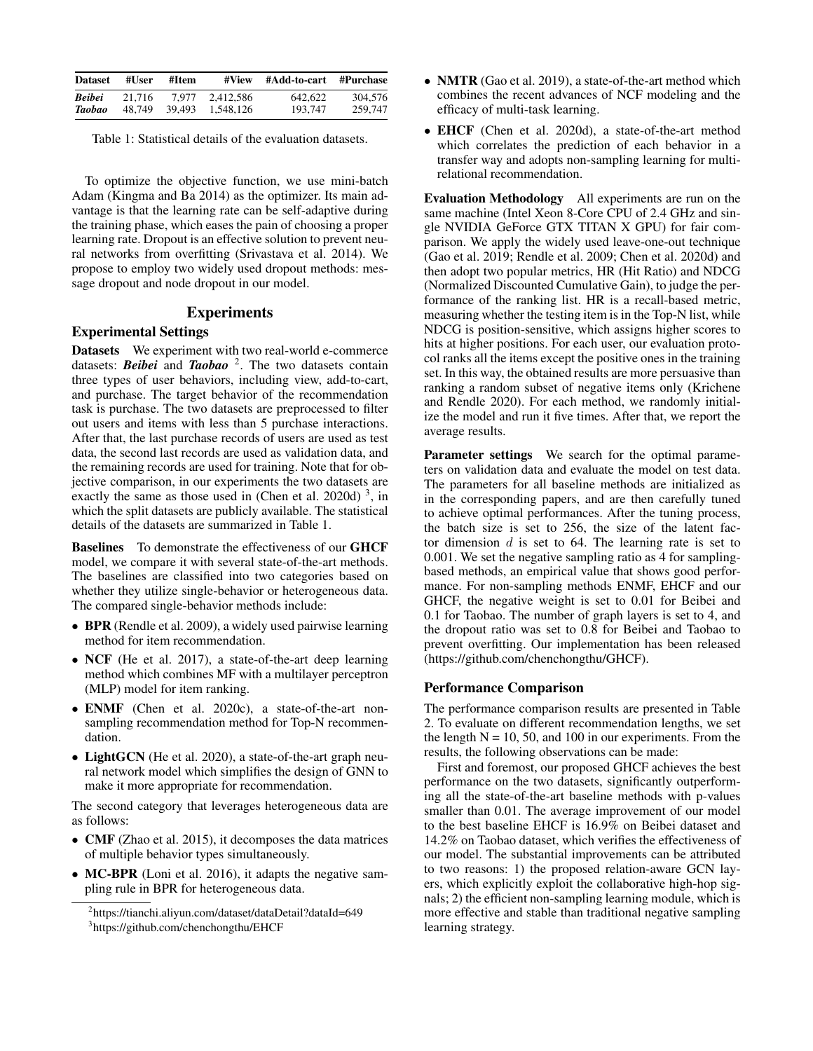| <b>Dataset</b> | #User  | #Item  | #View     | #Add-to-cart #Purchase |         |
|----------------|--------|--------|-----------|------------------------|---------|
| <b>Beibei</b>  | 21.716 | 7.977  | 2.412.586 | 642.622                | 304,576 |
| Taobao         | 48.749 | 39.493 | 1.548.126 | 193.747                | 259,747 |

Table 1: Statistical details of the evaluation datasets.

To optimize the objective function, we use mini-batch Adam (Kingma and Ba 2014) as the optimizer. Its main advantage is that the learning rate can be self-adaptive during the training phase, which eases the pain of choosing a proper learning rate. Dropout is an effective solution to prevent neural networks from overfitting (Srivastava et al. 2014). We propose to employ two widely used dropout methods: message dropout and node dropout in our model.

### Experiments

### Experimental Settings

Datasets We experiment with two real-world e-commerce datasets: *Beibei* and *Taobao* <sup>2</sup> . The two datasets contain three types of user behaviors, including view, add-to-cart, and purchase. The target behavior of the recommendation task is purchase. The two datasets are preprocessed to filter out users and items with less than 5 purchase interactions. After that, the last purchase records of users are used as test data, the second last records are used as validation data, and the remaining records are used for training. Note that for objective comparison, in our experiments the two datasets are exactly the same as those used in (Chen et al. 2020d)<sup>3</sup>, in which the split datasets are publicly available. The statistical details of the datasets are summarized in Table 1.

Baselines To demonstrate the effectiveness of our GHCF model, we compare it with several state-of-the-art methods. The baselines are classified into two categories based on whether they utilize single-behavior or heterogeneous data. The compared single-behavior methods include:

- BPR (Rendle et al. 2009), a widely used pairwise learning method for item recommendation.
- NCF (He et al. 2017), a state-of-the-art deep learning method which combines MF with a multilayer perceptron (MLP) model for item ranking.
- ENMF (Chen et al. 2020c), a state-of-the-art nonsampling recommendation method for Top-N recommendation.
- LightGCN (He et al. 2020), a state-of-the-art graph neural network model which simplifies the design of GNN to make it more appropriate for recommendation.

The second category that leverages heterogeneous data are as follows:

- CMF (Zhao et al. 2015), it decomposes the data matrices of multiple behavior types simultaneously.
- MC-BPR (Loni et al. 2016), it adapts the negative sampling rule in BPR for heterogeneous data.
- NMTR (Gao et al. 2019), a state-of-the-art method which combines the recent advances of NCF modeling and the efficacy of multi-task learning.
- EHCF (Chen et al. 2020d), a state-of-the-art method which correlates the prediction of each behavior in a transfer way and adopts non-sampling learning for multirelational recommendation.

Evaluation Methodology All experiments are run on the same machine (Intel Xeon 8-Core CPU of 2.4 GHz and single NVIDIA GeForce GTX TITAN X GPU) for fair comparison. We apply the widely used leave-one-out technique (Gao et al. 2019; Rendle et al. 2009; Chen et al. 2020d) and then adopt two popular metrics, HR (Hit Ratio) and NDCG (Normalized Discounted Cumulative Gain), to judge the performance of the ranking list. HR is a recall-based metric, measuring whether the testing item is in the Top-N list, while NDCG is position-sensitive, which assigns higher scores to hits at higher positions. For each user, our evaluation protocol ranks all the items except the positive ones in the training set. In this way, the obtained results are more persuasive than ranking a random subset of negative items only (Krichene and Rendle 2020). For each method, we randomly initialize the model and run it five times. After that, we report the average results.

Parameter settings We search for the optimal parameters on validation data and evaluate the model on test data. The parameters for all baseline methods are initialized as in the corresponding papers, and are then carefully tuned to achieve optimal performances. After the tuning process, the batch size is set to 256, the size of the latent factor dimension  $d$  is set to 64. The learning rate is set to 0.001. We set the negative sampling ratio as 4 for samplingbased methods, an empirical value that shows good performance. For non-sampling methods ENMF, EHCF and our GHCF, the negative weight is set to 0.01 for Beibei and 0.1 for Taobao. The number of graph layers is set to 4, and the dropout ratio was set to 0.8 for Beibei and Taobao to prevent overfitting. Our implementation has been released (https://github.com/chenchongthu/GHCF).

## Performance Comparison

The performance comparison results are presented in Table 2. To evaluate on different recommendation lengths, we set the length  $N = 10, 50,$  and 100 in our experiments. From the results, the following observations can be made:

First and foremost, our proposed GHCF achieves the best performance on the two datasets, significantly outperforming all the state-of-the-art baseline methods with p-values smaller than 0.01. The average improvement of our model to the best baseline EHCF is 16.9% on Beibei dataset and 14.2% on Taobao dataset, which verifies the effectiveness of our model. The substantial improvements can be attributed to two reasons: 1) the proposed relation-aware GCN layers, which explicitly exploit the collaborative high-hop signals; 2) the efficient non-sampling learning module, which is more effective and stable than traditional negative sampling learning strategy.

<sup>2</sup> https://tianchi.aliyun.com/dataset/dataDetail?dataId=649 3 https://github.com/chenchongthu/EHCF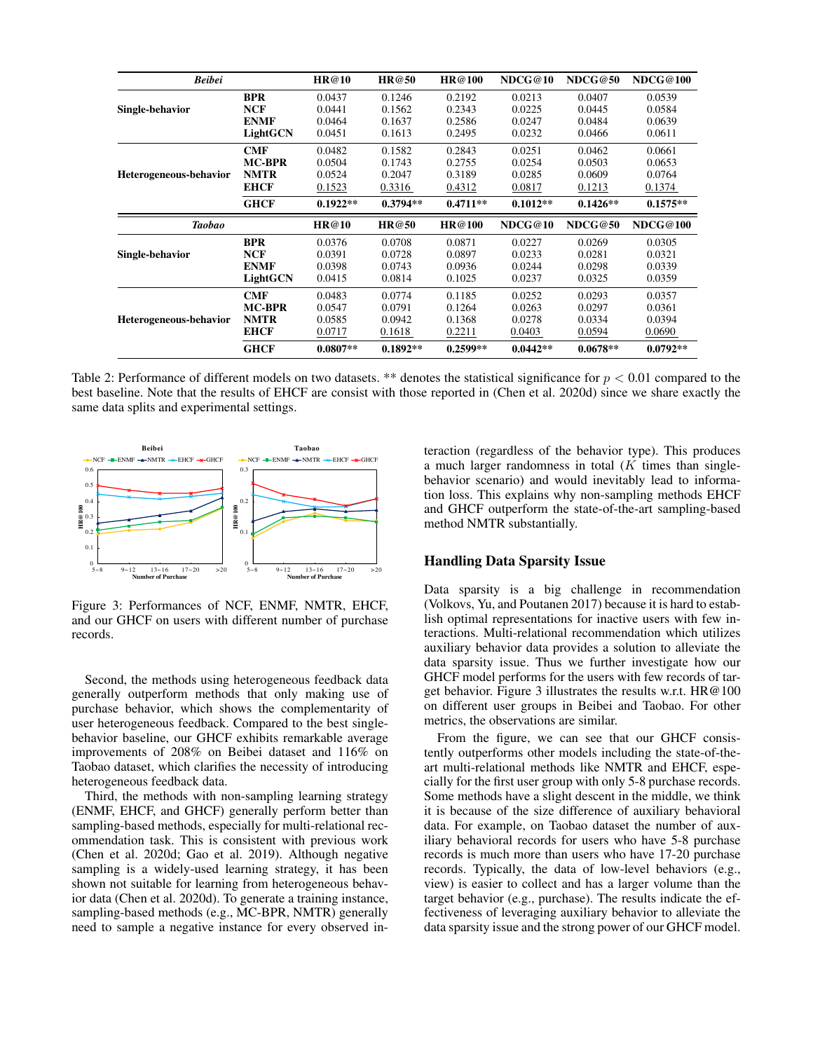| <b>Beibei</b>          |               | <b>HR@10</b> | <b>HR@50</b> | HR@100     | NDCG@10    | NDCG@50    | NDCG@100   |
|------------------------|---------------|--------------|--------------|------------|------------|------------|------------|
|                        | <b>BPR</b>    | 0.0437       | 0.1246       | 0.2192     | 0.0213     | 0.0407     | 0.0539     |
| Single-behavior        | <b>NCF</b>    | 0.0441       | 0.1562       | 0.2343     | 0.0225     | 0.0445     | 0.0584     |
|                        | <b>ENMF</b>   | 0.0464       | 0.1637       | 0.2586     | 0.0247     | 0.0484     | 0.0639     |
|                        | LightGCN      | 0.0451       | 0.1613       | 0.2495     | 0.0232     | 0.0466     | 0.0611     |
|                        | <b>CMF</b>    | 0.0482       | 0.1582       | 0.2843     | 0.0251     | 0.0462     | 0.0661     |
|                        | <b>MC-BPR</b> | 0.0504       | 0.1743       | 0.2755     | 0.0254     | 0.0503     | 0.0653     |
| Heterogeneous-behavior | <b>NMTR</b>   | 0.0524       | 0.2047       | 0.3189     | 0.0285     | 0.0609     | 0.0764     |
|                        | <b>EHCF</b>   | 0.1523       | 0.3316       | 0.4312     | 0.0817     | 0.1213     | 0.1374     |
|                        | <b>GHCF</b>   | $0.1922**$   | $0.3794**$   | $0.4711**$ | $0.1012**$ | $0.1426**$ | $0.1575**$ |
|                        |               |              |              |            |            |            |            |
| <b>Taobao</b>          |               | <b>HR@10</b> | HR@50        | HR@100     | NDCG@10    | NDCG@50    | NDCG@100   |
|                        | <b>BPR</b>    | 0.0376       | 0.0708       | 0.0871     | 0.0227     | 0.0269     | 0.0305     |
| Single-behavior        | <b>NCF</b>    | 0.0391       | 0.0728       | 0.0897     | 0.0233     | 0.0281     | 0.0321     |
|                        | <b>ENMF</b>   | 0.0398       | 0.0743       | 0.0936     | 0.0244     | 0.0298     | 0.0339     |
|                        | LightGCN      | 0.0415       | 0.0814       | 0.1025     | 0.0237     | 0.0325     | 0.0359     |
|                        | <b>CMF</b>    | 0.0483       | 0.0774       | 0.1185     | 0.0252     | 0.0293     | 0.0357     |
|                        | <b>MC-BPR</b> | 0.0547       | 0.0791       | 0.1264     | 0.0263     | 0.0297     | 0.0361     |
| Heterogeneous-behavior | <b>NMTR</b>   | 0.0585       | 0.0942       | 0.1368     | 0.0278     | 0.0334     | 0.0394     |
|                        | <b>EHCF</b>   | 0.0717       | 0.1618       | 0.2211     | 0.0403     | 0.0594     | 0.0690     |

Table 2: Performance of different models on two datasets. \*\* denotes the statistical significance for  $p < 0.01$  compared to the best baseline. Note that the results of EHCF are consist with those reported in (Chen et al. 2020d) since we share exactly the same data splits and experimental settings.



Figure 3: Performances of NCF, ENMF, NMTR, EHCF, and our GHCF on users with different number of purchase records.

Second, the methods using heterogeneous feedback data generally outperform methods that only making use of purchase behavior, which shows the complementarity of user heterogeneous feedback. Compared to the best singlebehavior baseline, our GHCF exhibits remarkable average improvements of 208% on Beibei dataset and 116% on Taobao dataset, which clarifies the necessity of introducing heterogeneous feedback data.

Third, the methods with non-sampling learning strategy (ENMF, EHCF, and GHCF) generally perform better than sampling-based methods, especially for multi-relational recommendation task. This is consistent with previous work (Chen et al. 2020d; Gao et al. 2019). Although negative sampling is a widely-used learning strategy, it has been shown not suitable for learning from heterogeneous behavior data (Chen et al. 2020d). To generate a training instance, sampling-based methods (e.g., MC-BPR, NMTR) generally need to sample a negative instance for every observed interaction (regardless of the behavior type). This produces a much larger randomness in total  $(K$  times than singlebehavior scenario) and would inevitably lead to information loss. This explains why non-sampling methods EHCF and GHCF outperform the state-of-the-art sampling-based method NMTR substantially.

### Handling Data Sparsity Issue

Data sparsity is a big challenge in recommendation (Volkovs, Yu, and Poutanen 2017) because it is hard to establish optimal representations for inactive users with few interactions. Multi-relational recommendation which utilizes auxiliary behavior data provides a solution to alleviate the data sparsity issue. Thus we further investigate how our GHCF model performs for the users with few records of target behavior. Figure 3 illustrates the results w.r.t. HR@100 on different user groups in Beibei and Taobao. For other metrics, the observations are similar.

From the figure, we can see that our GHCF consistently outperforms other models including the state-of-theart multi-relational methods like NMTR and EHCF, especially for the first user group with only 5-8 purchase records. Some methods have a slight descent in the middle, we think it is because of the size difference of auxiliary behavioral data. For example, on Taobao dataset the number of auxiliary behavioral records for users who have 5-8 purchase records is much more than users who have 17-20 purchase records. Typically, the data of low-level behaviors (e.g., view) is easier to collect and has a larger volume than the target behavior (e.g., purchase). The results indicate the effectiveness of leveraging auxiliary behavior to alleviate the data sparsity issue and the strong power of our GHCF model.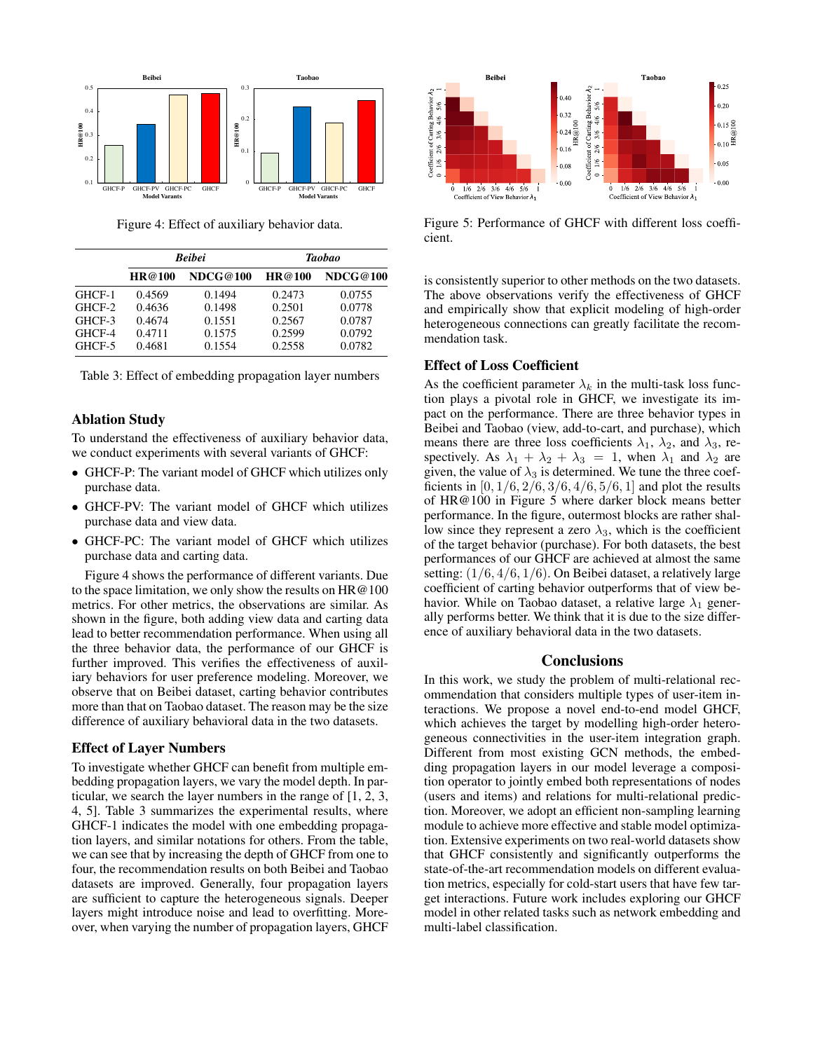

Figure 4: Effect of auxiliary behavior data.

|        |        | <b>Beibei</b> | <b>Taobao</b> |          |  |
|--------|--------|---------------|---------------|----------|--|
|        | HR@100 | NDCG@100      | HR@100        | NDCG@100 |  |
| GHCF-1 | 0.4569 | 0.1494        | 0.2473        | 0.0755   |  |
| GHCF-2 | 0.4636 | 0.1498        | 0.2501        | 0.0778   |  |
| GHCF-3 | 0.4674 | 0.1551        | 0.2567        | 0.0787   |  |
| GHCF-4 | 0.4711 | 0.1575        | 0.2599        | 0.0792   |  |
| GHCF-5 | 0.4681 | 0.1554        | 0.2558        | 0.0782   |  |

Table 3: Effect of embedding propagation layer numbers

### Ablation Study

To understand the effectiveness of auxiliary behavior data, we conduct experiments with several variants of GHCF:

- GHCF-P: The variant model of GHCF which utilizes only purchase data.
- GHCF-PV: The variant model of GHCF which utilizes purchase data and view data.
- GHCF-PC: The variant model of GHCF which utilizes purchase data and carting data.

Figure 4 shows the performance of different variants. Due to the space limitation, we only show the results on HR@100 metrics. For other metrics, the observations are similar. As shown in the figure, both adding view data and carting data lead to better recommendation performance. When using all the three behavior data, the performance of our GHCF is further improved. This verifies the effectiveness of auxiliary behaviors for user preference modeling. Moreover, we observe that on Beibei dataset, carting behavior contributes more than that on Taobao dataset. The reason may be the size difference of auxiliary behavioral data in the two datasets.

#### Effect of Layer Numbers

To investigate whether GHCF can benefit from multiple embedding propagation layers, we vary the model depth. In particular, we search the layer numbers in the range of [1, 2, 3, 4, 5]. Table 3 summarizes the experimental results, where GHCF-1 indicates the model with one embedding propagation layers, and similar notations for others. From the table, we can see that by increasing the depth of GHCF from one to four, the recommendation results on both Beibei and Taobao datasets are improved. Generally, four propagation layers are sufficient to capture the heterogeneous signals. Deeper layers might introduce noise and lead to overfitting. Moreover, when varying the number of propagation layers, GHCF



Figure 5: Performance of GHCF with different loss coefficient.

is consistently superior to other methods on the two datasets. The above observations verify the effectiveness of GHCF and empirically show that explicit modeling of high-order heterogeneous connections can greatly facilitate the recommendation task.

#### Effect of Loss Coefficient

As the coefficient parameter  $\lambda_k$  in the multi-task loss function plays a pivotal role in GHCF, we investigate its impact on the performance. There are three behavior types in Beibei and Taobao (view, add-to-cart, and purchase), which means there are three loss coefficients  $\lambda_1$ ,  $\lambda_2$ , and  $\lambda_3$ , respectively. As  $\lambda_1 + \lambda_2 + \lambda_3 = 1$ , when  $\lambda_1$  and  $\lambda_2$  are given, the value of  $\lambda_3$  is determined. We tune the three coefficients in  $[0, 1/6, 2/6, 3/6, 4/6, 5/6, 1]$  and plot the results of HR@100 in Figure 5 where darker block means better performance. In the figure, outermost blocks are rather shallow since they represent a zero  $\lambda_3$ , which is the coefficient of the target behavior (purchase). For both datasets, the best performances of our GHCF are achieved at almost the same setting:  $(1/6, 4/6, 1/6)$ . On Beibei dataset, a relatively large coefficient of carting behavior outperforms that of view behavior. While on Taobao dataset, a relative large  $\lambda_1$  generally performs better. We think that it is due to the size difference of auxiliary behavioral data in the two datasets.

#### **Conclusions**

In this work, we study the problem of multi-relational recommendation that considers multiple types of user-item interactions. We propose a novel end-to-end model GHCF, which achieves the target by modelling high-order heterogeneous connectivities in the user-item integration graph. Different from most existing GCN methods, the embedding propagation layers in our model leverage a composition operator to jointly embed both representations of nodes (users and items) and relations for multi-relational prediction. Moreover, we adopt an efficient non-sampling learning module to achieve more effective and stable model optimization. Extensive experiments on two real-world datasets show that GHCF consistently and significantly outperforms the state-of-the-art recommendation models on different evaluation metrics, especially for cold-start users that have few target interactions. Future work includes exploring our GHCF model in other related tasks such as network embedding and multi-label classification.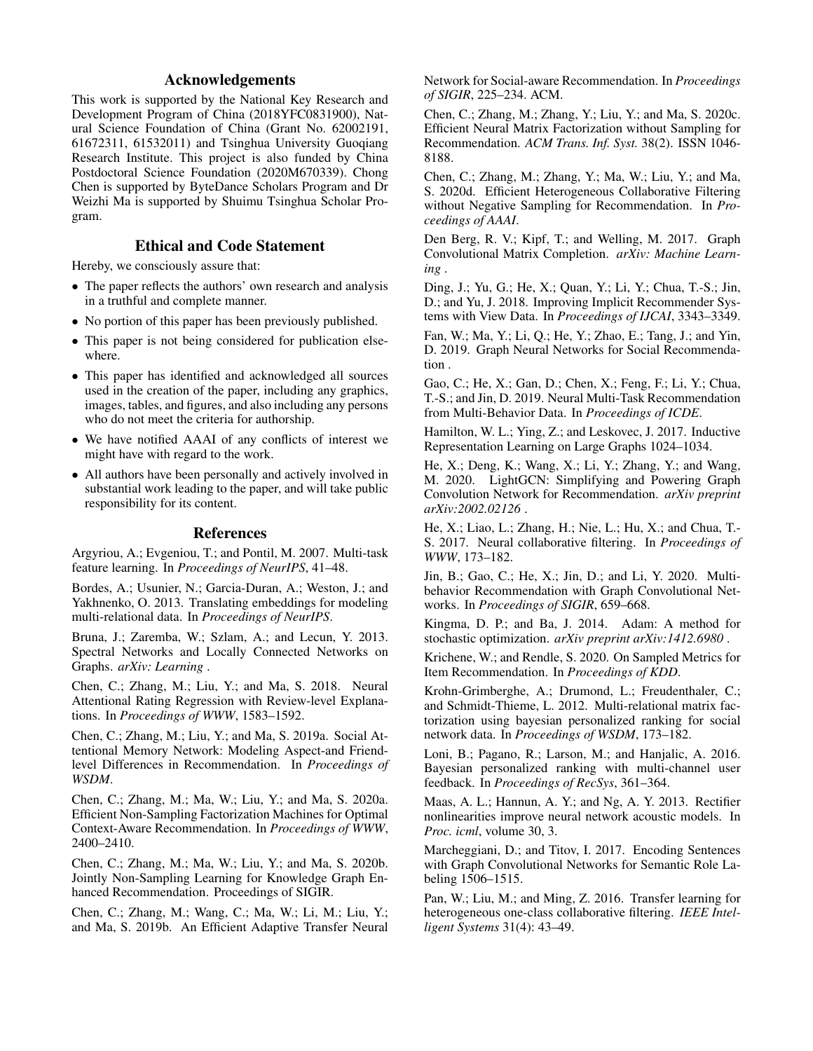# Acknowledgements

This work is supported by the National Key Research and Development Program of China (2018YFC0831900), Natural Science Foundation of China (Grant No. 62002191, 61672311, 61532011) and Tsinghua University Guoqiang Research Institute. This project is also funded by China Postdoctoral Science Foundation (2020M670339). Chong Chen is supported by ByteDance Scholars Program and Dr Weizhi Ma is supported by Shuimu Tsinghua Scholar Program.

### Ethical and Code Statement

Hereby, we consciously assure that:

- The paper reflects the authors' own research and analysis in a truthful and complete manner.
- No portion of this paper has been previously published.
- This paper is not being considered for publication elsewhere.
- This paper has identified and acknowledged all sources used in the creation of the paper, including any graphics, images, tables, and figures, and also including any persons who do not meet the criteria for authorship.
- We have notified AAAI of any conflicts of interest we might have with regard to the work.
- All authors have been personally and actively involved in substantial work leading to the paper, and will take public responsibility for its content.

#### References

Argyriou, A.; Evgeniou, T.; and Pontil, M. 2007. Multi-task feature learning. In *Proceedings of NeurIPS*, 41–48.

Bordes, A.; Usunier, N.; Garcia-Duran, A.; Weston, J.; and Yakhnenko, O. 2013. Translating embeddings for modeling multi-relational data. In *Proceedings of NeurIPS*.

Bruna, J.; Zaremba, W.; Szlam, A.; and Lecun, Y. 2013. Spectral Networks and Locally Connected Networks on Graphs. *arXiv: Learning* .

Chen, C.; Zhang, M.; Liu, Y.; and Ma, S. 2018. Neural Attentional Rating Regression with Review-level Explanations. In *Proceedings of WWW*, 1583–1592.

Chen, C.; Zhang, M.; Liu, Y.; and Ma, S. 2019a. Social Attentional Memory Network: Modeling Aspect-and Friendlevel Differences in Recommendation. In *Proceedings of WSDM*.

Chen, C.; Zhang, M.; Ma, W.; Liu, Y.; and Ma, S. 2020a. Efficient Non-Sampling Factorization Machines for Optimal Context-Aware Recommendation. In *Proceedings of WWW*, 2400–2410.

Chen, C.; Zhang, M.; Ma, W.; Liu, Y.; and Ma, S. 2020b. Jointly Non-Sampling Learning for Knowledge Graph Enhanced Recommendation. Proceedings of SIGIR.

Chen, C.; Zhang, M.; Wang, C.; Ma, W.; Li, M.; Liu, Y.; and Ma, S. 2019b. An Efficient Adaptive Transfer Neural Network for Social-aware Recommendation. In *Proceedings of SIGIR*, 225–234. ACM.

Chen, C.; Zhang, M.; Zhang, Y.; Liu, Y.; and Ma, S. 2020c. Efficient Neural Matrix Factorization without Sampling for Recommendation. *ACM Trans. Inf. Syst.* 38(2). ISSN 1046- 8188.

Chen, C.; Zhang, M.; Zhang, Y.; Ma, W.; Liu, Y.; and Ma, S. 2020d. Efficient Heterogeneous Collaborative Filtering without Negative Sampling for Recommendation. In *Proceedings of AAAI*.

Den Berg, R. V.; Kipf, T.; and Welling, M. 2017. Graph Convolutional Matrix Completion. *arXiv: Machine Learning* .

Ding, J.; Yu, G.; He, X.; Quan, Y.; Li, Y.; Chua, T.-S.; Jin, D.; and Yu, J. 2018. Improving Implicit Recommender Systems with View Data. In *Proceedings of IJCAI*, 3343–3349.

Fan, W.; Ma, Y.; Li, Q.; He, Y.; Zhao, E.; Tang, J.; and Yin, D. 2019. Graph Neural Networks for Social Recommendation .

Gao, C.; He, X.; Gan, D.; Chen, X.; Feng, F.; Li, Y.; Chua, T.-S.; and Jin, D. 2019. Neural Multi-Task Recommendation from Multi-Behavior Data. In *Proceedings of ICDE*.

Hamilton, W. L.; Ying, Z.; and Leskovec, J. 2017. Inductive Representation Learning on Large Graphs 1024–1034.

He, X.; Deng, K.; Wang, X.; Li, Y.; Zhang, Y.; and Wang, M. 2020. LightGCN: Simplifying and Powering Graph Convolution Network for Recommendation. *arXiv preprint arXiv:2002.02126* .

He, X.; Liao, L.; Zhang, H.; Nie, L.; Hu, X.; and Chua, T.- S. 2017. Neural collaborative filtering. In *Proceedings of WWW*, 173–182.

Jin, B.; Gao, C.; He, X.; Jin, D.; and Li, Y. 2020. Multibehavior Recommendation with Graph Convolutional Networks. In *Proceedings of SIGIR*, 659–668.

Kingma, D. P.; and Ba, J. 2014. Adam: A method for stochastic optimization. *arXiv preprint arXiv:1412.6980* .

Krichene, W.; and Rendle, S. 2020. On Sampled Metrics for Item Recommendation. In *Proceedings of KDD*.

Krohn-Grimberghe, A.; Drumond, L.; Freudenthaler, C.; and Schmidt-Thieme, L. 2012. Multi-relational matrix factorization using bayesian personalized ranking for social network data. In *Proceedings of WSDM*, 173–182.

Loni, B.; Pagano, R.; Larson, M.; and Hanjalic, A. 2016. Bayesian personalized ranking with multi-channel user feedback. In *Proceedings of RecSys*, 361–364.

Maas, A. L.; Hannun, A. Y.; and Ng, A. Y. 2013. Rectifier nonlinearities improve neural network acoustic models. In *Proc. icml*, volume 30, 3.

Marcheggiani, D.; and Titov, I. 2017. Encoding Sentences with Graph Convolutional Networks for Semantic Role Labeling 1506–1515.

Pan, W.; Liu, M.; and Ming, Z. 2016. Transfer learning for heterogeneous one-class collaborative filtering. *IEEE Intelligent Systems* 31(4): 43–49.